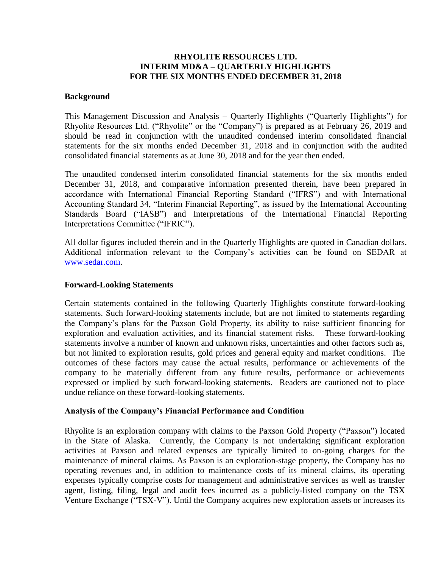# **RHYOLITE RESOURCES LTD. INTERIM MD&A – QUARTERLY HIGHLIGHTS FOR THE SIX MONTHS ENDED DECEMBER 31, 2018**

### **Background**

This Management Discussion and Analysis – Quarterly Highlights ("Quarterly Highlights") for Rhyolite Resources Ltd. ("Rhyolite" or the "Company") is prepared as at February 26, 2019 and should be read in conjunction with the unaudited condensed interim consolidated financial statements for the six months ended December 31, 2018 and in conjunction with the audited consolidated financial statements as at June 30, 2018 and for the year then ended.

The unaudited condensed interim consolidated financial statements for the six months ended December 31, 2018, and comparative information presented therein, have been prepared in accordance with International Financial Reporting Standard ("IFRS") and with International Accounting Standard 34, "Interim Financial Reporting", as issued by the International Accounting Standards Board ("IASB") and Interpretations of the International Financial Reporting Interpretations Committee ("IFRIC").

All dollar figures included therein and in the Quarterly Highlights are quoted in Canadian dollars. Additional information relevant to the Company's activities can be found on SEDAR at [www.sedar.com.](http://www.sedar.com/)

### **Forward-Looking Statements**

Certain statements contained in the following Quarterly Highlights constitute forward-looking statements. Such forward-looking statements include, but are not limited to statements regarding the Company's plans for the Paxson Gold Property, its ability to raise sufficient financing for exploration and evaluation activities, and its financial statement risks. These forward-looking statements involve a number of known and unknown risks, uncertainties and other factors such as, but not limited to exploration results, gold prices and general equity and market conditions. The outcomes of these factors may cause the actual results, performance or achievements of the company to be materially different from any future results, performance or achievements expressed or implied by such forward-looking statements. Readers are cautioned not to place undue reliance on these forward-looking statements.

## **Analysis of the Company's Financial Performance and Condition**

Rhyolite is an exploration company with claims to the Paxson Gold Property ("Paxson") located in the State of Alaska. Currently, the Company is not undertaking significant exploration activities at Paxson and related expenses are typically limited to on-going charges for the maintenance of mineral claims. As Paxson is an exploration-stage property, the Company has no operating revenues and, in addition to maintenance costs of its mineral claims, its operating expenses typically comprise costs for management and administrative services as well as transfer agent, listing, filing, legal and audit fees incurred as a publicly-listed company on the TSX Venture Exchange ("TSX-V"). Until the Company acquires new exploration assets or increases its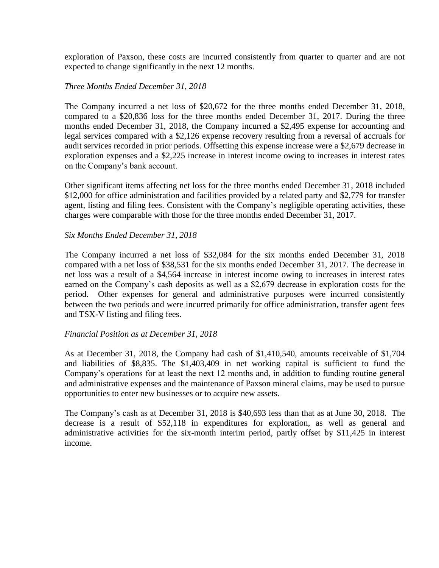exploration of Paxson, these costs are incurred consistently from quarter to quarter and are not expected to change significantly in the next 12 months.

## *Three Months Ended December 31, 2018*

The Company incurred a net loss of \$20,672 for the three months ended December 31, 2018, compared to a \$20,836 loss for the three months ended December 31, 2017. During the three months ended December 31, 2018, the Company incurred a \$2,495 expense for accounting and legal services compared with a \$2,126 expense recovery resulting from a reversal of accruals for audit services recorded in prior periods. Offsetting this expense increase were a \$2,679 decrease in exploration expenses and a \$2,225 increase in interest income owing to increases in interest rates on the Company's bank account.

Other significant items affecting net loss for the three months ended December 31, 2018 included \$12,000 for office administration and facilities provided by a related party and \$2,779 for transfer agent, listing and filing fees. Consistent with the Company's negligible operating activities, these charges were comparable with those for the three months ended December 31, 2017.

## *Six Months Ended December 31, 2018*

The Company incurred a net loss of \$32,084 for the six months ended December 31, 2018 compared with a net loss of \$38,531 for the six months ended December 31, 2017. The decrease in net loss was a result of a \$4,564 increase in interest income owing to increases in interest rates earned on the Company's cash deposits as well as a \$2,679 decrease in exploration costs for the period. Other expenses for general and administrative purposes were incurred consistently between the two periods and were incurred primarily for office administration, transfer agent fees and TSX-V listing and filing fees.

## *Financial Position as at December 31, 2018*

As at December 31, 2018, the Company had cash of \$1,410,540, amounts receivable of \$1,704 and liabilities of \$8,835. The \$1,403,409 in net working capital is sufficient to fund the Company's operations for at least the next 12 months and, in addition to funding routine general and administrative expenses and the maintenance of Paxson mineral claims, may be used to pursue opportunities to enter new businesses or to acquire new assets.

The Company's cash as at December 31, 2018 is \$40,693 less than that as at June 30, 2018. The decrease is a result of \$52,118 in expenditures for exploration, as well as general and administrative activities for the six-month interim period, partly offset by \$11,425 in interest income.